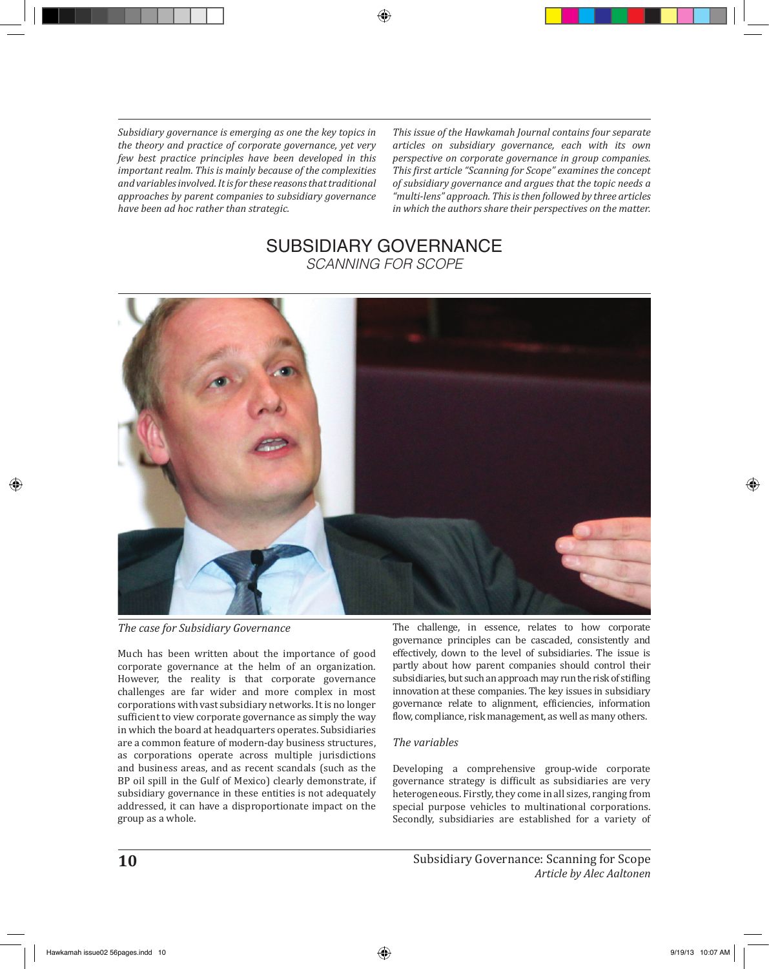*Subsidiary governance is emerging as one the key topics in the theory and practice of corporate governance, yet very few best practice principles have been developed in this important realm. This is mainly because of the complexities and variables involved. It is for these reasons that traditional approaches by parent companies to subsidiary governance have been ad hoc rather than strategic.*

*This issue of the Hawkamah Journal contains four separate articles on subsidiary governance, each with its own perspective on corporate governance in group companies. This first article "Scanning for Scope" examines the concept of subsidiary governance and argues that the topic needs a "multi-lens" approach. This is then followed by three articles in which the authors share their perspectives on the matter.* 

## SUBSIDIARY GOVERNANCE *SCANNING FOR SCOPE*



*The case for Subsidiary Governance*

Much has been written about the importance of good corporate governance at the helm of an organization. However, the reality is that corporate governance challenges are far wider and more complex in most corporations with vast subsidiary networks. It is no longer sufficient to view corporate governance as simply the way in which the board at headquarters operates. Subsidiaries are a common feature of modern-day business structures, as corporations operate across multiple jurisdictions and business areas, and as recent scandals (such as the BP oil spill in the Gulf of Mexico) clearly demonstrate, if subsidiary governance in these entities is not adequately addressed, it can have a disproportionate impact on the group as a whole.

The challenge, in essence, relates to how corporate governance principles can be cascaded, consistently and effectively, down to the level of subsidiaries. The issue is partly about how parent companies should control their subsidiaries, but such an approach may run the risk of stifling innovation at these companies. The key issues in subsidiary governance relate to alignment, efficiencies, information flow, compliance, risk management, as well as many others.

## *The variables*

Developing a comprehensive group-wide corporate governance strategy is difficult as subsidiaries are very heterogeneous. Firstly, they come in all sizes, ranging from special purpose vehicles to multinational corporations. Secondly, subsidiaries are established for a variety of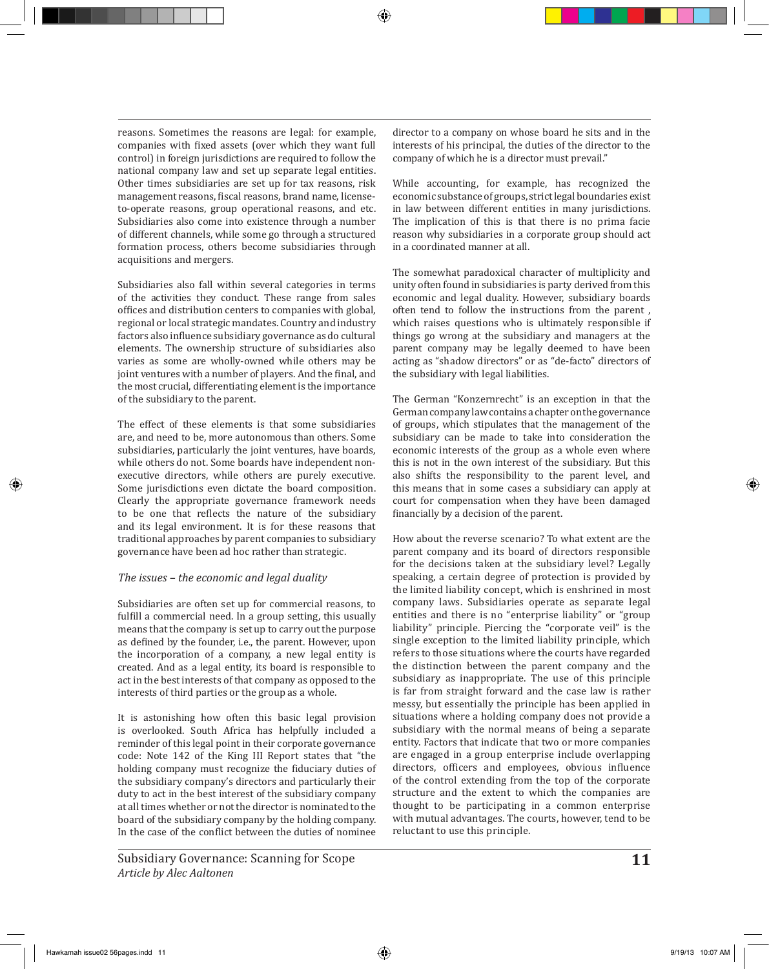reasons. Sometimes the reasons are legal: for example, companies with fixed assets (over which they want full control) in foreign jurisdictions are required to follow the national company law and set up separate legal entities. Other times subsidiaries are set up for tax reasons, risk management reasons, fiscal reasons, brand name, licenseto-operate reasons, group operational reasons, and etc. Subsidiaries also come into existence through a number of different channels, while some go through a structured formation process, others become subsidiaries through acquisitions and mergers.

Subsidiaries also fall within several categories in terms of the activities they conduct. These range from sales offices and distribution centers to companies with global, regional or local strategic mandates. Country and industry factors also influence subsidiary governance as do cultural elements. The ownership structure of subsidiaries also varies as some are wholly-owned while others may be joint ventures with a number of players. And the final, and the most crucial, differentiating element is the importance of the subsidiary to the parent.

The effect of these elements is that some subsidiaries are, and need to be, more autonomous than others. Some subsidiaries, particularly the joint ventures, have boards, while others do not. Some boards have independent nonexecutive directors, while others are purely executive. Some jurisdictions even dictate the board composition. Clearly the appropriate governance framework needs to be one that reflects the nature of the subsidiary and its legal environment. It is for these reasons that traditional approaches by parent companies to subsidiary governance have been ad hoc rather than strategic.

## *The issues – the economic and legal duality*

Subsidiaries are often set up for commercial reasons, to fulfill a commercial need. In a group setting, this usually means that the company is set up to carry out the purpose as defined by the founder, i.e., the parent. However, upon the incorporation of a company, a new legal entity is created. And as a legal entity, its board is responsible to act in the best interests of that company as opposed to the interests of third parties or the group as a whole.

It is astonishing how often this basic legal provision is overlooked. South Africa has helpfully included a reminder of this legal point in their corporate governance code: Note 142 of the King III Report states that "the holding company must recognize the fiduciary duties of the subsidiary company's directors and particularly their duty to act in the best interest of the subsidiary company at all times whether or not the director is nominated to the board of the subsidiary company by the holding company. In the case of the conflict between the duties of nominee

director to a company on whose board he sits and in the interests of his principal, the duties of the director to the company of which he is a director must prevail."

While accounting, for example, has recognized the economic substance of groups, strict legal boundaries exist in law between different entities in many jurisdictions. The implication of this is that there is no prima facie reason why subsidiaries in a corporate group should act in a coordinated manner at all.

The somewhat paradoxical character of multiplicity and unity often found in subsidiaries is party derived from this economic and legal duality. However, subsidiary boards often tend to follow the instructions from the parent , which raises questions who is ultimately responsible if things go wrong at the subsidiary and managers at the parent company may be legally deemed to have been acting as "shadow directors" or as "de-facto" directors of the subsidiary with legal liabilities.

The German "Konzernrecht" is an exception in that the German company law contains a chapter on the governance of groups, which stipulates that the management of the subsidiary can be made to take into consideration the economic interests of the group as a whole even where this is not in the own interest of the subsidiary. But this also shifts the responsibility to the parent level, and this means that in some cases a subsidiary can apply at court for compensation when they have been damaged financially by a decision of the parent.

How about the reverse scenario? To what extent are the parent company and its board of directors responsible for the decisions taken at the subsidiary level? Legally speaking, a certain degree of protection is provided by the limited liability concept, which is enshrined in most company laws. Subsidiaries operate as separate legal entities and there is no "enterprise liability" or "group liability" principle. Piercing the "corporate veil" is the single exception to the limited liability principle, which refers to those situations where the courts have regarded the distinction between the parent company and the subsidiary as inappropriate. The use of this principle is far from straight forward and the case law is rather messy, but essentially the principle has been applied in situations where a holding company does not provide a subsidiary with the normal means of being a separate entity. Factors that indicate that two or more companies are engaged in a group enterprise include overlapping directors, officers and employees, obvious influence of the control extending from the top of the corporate structure and the extent to which the companies are thought to be participating in a common enterprise with mutual advantages. The courts, however, tend to be reluctant to use this principle.